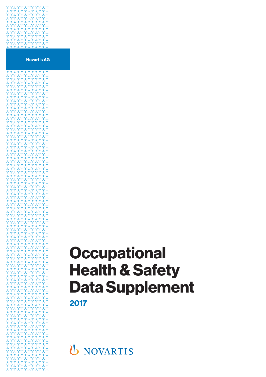

# **Occupational Health & Safety Data Supplement 2017**

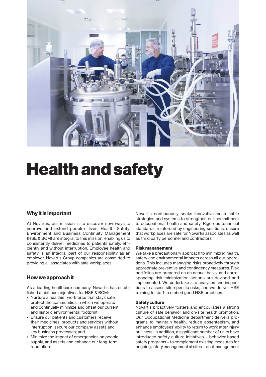

# Health and safety

# **Why it is important**

At Novartis, our mission is to discover new ways to improve and extend people's lives. Health, Safety, Environment and Business Continuity Management (HSE & BCM) are integral to this mission, enabling us to consistently deliver medicines to patients safely, efficiently and without interruption. Employee health and safety is an integral part of our responsibility as an employer. Novartis Group companies are committed to providing all associates with safe workplaces.

# **How we approach it**

As a leading healthcare company, Novartis has established ambitious objectives for HSE & BCM:

- Nurture a healthier workforce that stays safe, protect the communities in which we operate and continually minimize and offset our current and historic environmental footprint;
- Ensure our patients and customers receive their medicines, products and services without interruption; secure our company assets and key business processes; and
- Minimize the impact of emergencies on people, supply, and assets and enhance our long-term reputation.

Novartis continuously seeks innovative, sustainable strategies and systems to strengthen our commitment to occupational health and safety. Rigorous technical standards, reinforced by engineering solutions, ensure that workplaces are safe for Novartis associates as well as third party personnel and contractors.

# **Risk management**

We take a precautionary approach to minimizing health, safety and environmental impacts across all our operations. This includes managing risks proactively through appropriate preventive and contingency measures. Risk portfolios are prepared on an annual basis, and corresponding risk minimization actions are devised and implemented. We undertake site analyses and inspections to assess site-specific risks, and we deliver HSE training to staff to embed good HSE practices.

# **Safety culture**

Novartis proactively fosters and encourages a strong culture of safe behavior and on-site health promotion. Our Occupational Medicine department delivers programs to maintain health, reduce absenteeism, and enhance employees' ability to return to work after injury or illness. In addition, a significant number of units have introduced safety culture initiatives – behavior-based safety programs – to complement existing measures for ongoing safety management at sites. Local management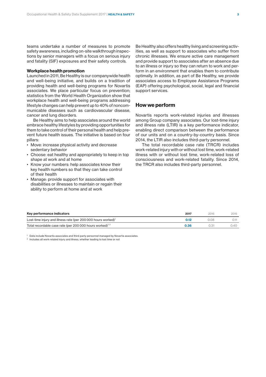teams undertake a number of measures to promote safety awareness, including on-site walkthrough inspections by senior managers with a focus on serious injury and fatality (SIF) exposures and their safety controls.

# **Workplace health promotion**

Launched in 2011, Be Healthy is our companywide health and well-being initiative, and builds on a tradition of providing health and well-being programs for Novartis associates. We place particular focus on prevention; statistics from the World Health Organization show that workplace health and well-being programs addressing lifestyle changes can help prevent up to 40% of noncommunicable diseases such as cardiovascular disease, cancer and lung disorders.

Be Healthy aims to help associates around the world embrace healthy lifestyles by providing opportunities for them to take control of their personal health and help prevent future health issues. The initiative is based on four pillars:

- Move: increase physical activity and decrease sedentary behavior
- Choose: eat healthy and appropriately to keep in top shape at work and at home
- Know your numbers: help associates know their key health numbers so that they can take control of their health
- Manage: provide support for associates with disabilities or illnesses to maintain or regain their ability to perform at home and at work

Be Healthy also offers healthy living and screening activities, as well as support to associates who suffer from chronic illnesses. We ensure active care management and provide support to associates after an absence due to an illness or injury so they can return to work and perform in an environment that enables them to contribute optimally. In addition, as part of Be Healthy, we provide associates access to Employee Assistance Programs (EAP) offering psychological, social, legal and financial support services.

# **How we perform**

Novartis reports work-related injuries and illnesses among Group company associates. Our lost-time injury and illness rate (LTIR) is a key performance indicator, enabling direct comparison between the performance of our units and on a country-by-country basis. Since 2014, the LTIR also includes third-party personnel.

The total recordable case rate (TRCR) includes work-related injury with or without lost time, work-related illness with or without lost time, work-related loss of consciousness and work-related fatality. Since 2014, the TRCR also includes third-party personnel.

| Key performance indicators                                                | 2017 | 2016 | 2015 |
|---------------------------------------------------------------------------|------|------|------|
| Lost-time injury and illness rate (per 200 000 hours worked) <sup>1</sup> | 0.12 | 0.08 |      |
| Total recordable case rate (per 200 000 hours worked) <sup>1,2</sup>      | 0.36 |      | 0.40 |

Data include Novartis associates and third-party personnel managed by Novartis associates.

 $2$  Includes all work-related injury and illness, whether leading to lost time or not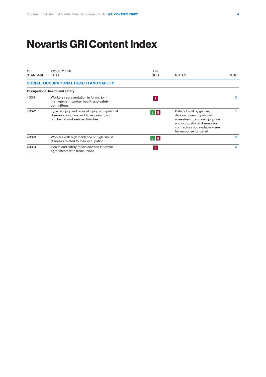# **Novartis GRI Content Index**

| GRI<br><b>STANDARD</b> | <b>DISCLOSURE</b><br>TITLE                                                                                                        | <b>UN</b><br><b>SDG</b> | <b>NOTES</b>                                                                                                                                                                            | PAGE |
|------------------------|-----------------------------------------------------------------------------------------------------------------------------------|-------------------------|-----------------------------------------------------------------------------------------------------------------------------------------------------------------------------------------|------|
|                        | <b>SOCIAL: OCCUPATIONAL HEALTH AND SAFETY</b>                                                                                     |                         |                                                                                                                                                                                         |      |
|                        | Occupational health and safety                                                                                                    |                         |                                                                                                                                                                                         |      |
| $403-1$                | Workers representation in formal joint<br>management-worker health and safety<br>committees                                       | $\bf{8}$                |                                                                                                                                                                                         | 5    |
| 403-2                  | Type of injury and rates of injury, occupational<br>diseases, lost days and absenteeism, and<br>number of work-related fatalities | $3 \mid 8$              | Data not split by gender;<br>data on non-occupational<br>absenteeism, and on injury rate<br>and occupational disease for<br>contractors not available - see<br>full response for detail | 5    |
| 403-3                  | Workers with high incidence or high risk of<br>diseases related to their occupation                                               | $3 \parallel 8$         |                                                                                                                                                                                         | 9    |
| $403 - 4$              | Health and safety topics covered in formal<br>agreements with trade unions                                                        | 8                       |                                                                                                                                                                                         | 9    |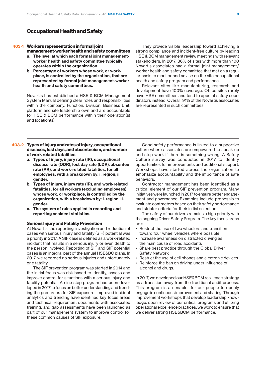# **Occupational Health and Safety**

# **Workers representation in formal joint**

- **management-worker health and safety committees a. The level at which each formal joint managementworker health and safety committee typically operates within the organization.**
- **b. Percentage of workers whose work, or workplace, is controlled by the organization, that are represented by formal joint management-worker health and safety committees.**

Novartis has established a HSE & BCM Management System Manual defining clear roles and responsibilities within the company. Function, Division, Business Unit, platform and site leadership own and are accountable for HSE & BCM performance within their operation(s) and location(s).

**403-1** They provide visible leadership toward achieving a strong compliance and incident-free culture by leading HSE & BCM management review meetings with relevant stakeholders. In 2017, 86% of sites with more than 100 Novartis associates had a formal joint management /  worker health and safety committee that met on a regular basis to monitor and advise on the site occupational health and safety program and performance.

Relevant sites like manufacturing, research and development have 100% coverage. Office sites rarely have HSE committees and tend to appoint safety coordinators instead. Overall, 91% of the Novartis associates are represented in such committees.

# **Types of injury and rates of injury, occupational 403-2** Good safety performance is linked to a supportive **diseases, lost days, and absenteeism, and number of work related fatalities**

- **a. Types of injury, injury rate (IR), occupational disease rate (ODR), lost day rate (LDR), absentee rate (AR), and work-related fatalities, for all employees, with a breakdown by: i. region; ii. gender.**
- **b. Types of injury, injury rate (IR), and work-related fatalities, for all workers (excluding employees) whose work, or workplace, is controlled by the organization, with a breakdown by: i. region; ii. gender.**
- **c. The system of rules applied in recording and reporting accident statistics.**

# **Serious Injury and Fatality Prevention**

At Novartis, the reporting, investigation and reduction of cases with serious injury and fatality (SIF) potential was a priority in 2017. A SIF case is defined as a work-related incident that results in a serious injury or even death to the person involved. Reporting of SIF and SIF potential cases is an integral part of the annual HSE&BC plans. In 2017, we recorded no serious injuries and unfortunately one fatality.

The SIF prevention program was started in 2014 and the initial focus was risk-based to identify, assess and improve control for situations with a serious injury and fatality potential. A nine step program has been developed in 2017 to focus on better understanding and trending the precursors for SIF exposure. Improved incident analytics and trending have identified key focus areas and technical requirement documents with associated training, and gap assessments have been launched as part of our management system to improve control for these common causes of SIF exposure.

culture where associates are empowered to speak up and stop work if there is something wrong. A Safety Culture survey was conducted in 2017 to identify opportunities for improvements and additional support. Workshops have started across the organization to emphasize accountability and the importance of safe behaviors.

Contractor management has been identified as a critical element of our SIF prevention program. Many initiatives were launched in 2017 to ensure better engagement and governance. Examples include proposals to evaluate contractors based on their safety performance and stricter criteria for their initial selection.

The safety of our drivers remains a high priority with the ongoing Driver Safety Program. The key focus areas are:

- Restrict the use of two wheelers and transition toward four wheel vehicles where possible
- Increase awareness on distracted driving as the main cause of road accidents
- Share best practice through the Global Driver Safety Network
- Restrict the use of cell phones and electronic devices
- Reinforce the ban on driving under influence of alcohol and drugs.

In 2017, we developed our HSE&BCM resilience strategy as a transition away from the traditional audit process. This program is an enabler for our people to openly engage in continuous improvement and sharing. Through improvement workshops that develop leadership knowledge, open review of our critical programs and utilizing operational excellence practices, we work to ensure that we deliver strong HSE&BCM performance.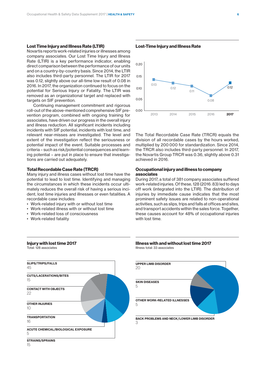# **Lost Time Injury and Illness Rate (LTIR)**

Novartis reports work-related injuries or illnesses among company associates. Our Lost Time Injury and Illness Rate (LTIR) is a key performance indicator, enabling direct comparison between the performance of our units and on a country-by-country basis. Since 2014, the LTIR also includes third-party personnel. The LTIR for 2017 was 0.12, slightly above our all-time low result of 0.08 in 2016. In 2017, the organization continued to focus on the potential for Serious Injury or Fatality. The LTIR was removed as an organizational target and replaced with targets on SIF prevention.

Continuing management commitment and rigorous roll-out of the above-mentioned comprehensive SIF prevention program, combined with ongoing training for associates, have driven our progress in the overall injury and illness reduction. All significant incidents including incidents with SIF potential, incidents with lost time, and relevant near-misses are investigated. The level and extent of the investigation reflect the seriousness or potential impact of the event. Suitable processes and criteria – such as risk/potential consequences and learning potential – are put in place to ensure that investigations are carried out adequately.

### **Total Recordable Case Rate (TRCR)**

Many injury and illness cases without lost time have the potential to lead to lost time. Identifying and managing the circumstances in which these incidents occur ultimately reduces the overall risk of having a serious incident, lost time injuries and illnesses or even fatalities. A recordable case includes:

- Work-related injury with or without lost time
- Work-related illness with or without lost time
- Work-related loss of consciousness
- Work-related fatality

**Injury with lost time 2017**

Total: 128 associates



**Lost-Time Injury and Illness Rate**



**LOST TIME INJURY AND ILLNESS RATE (LA 6)**

The Total Recordable Case Rate (TRCR) equals the division of all recordable cases by the hours worked, multiplied by 200 000 for standardization. Since 2014, the TRCR also includes third-party personnel. In 2017, the Novartis Group TRCR was 0.36, slightly above 0.31 achieved in 2016.

#### **Occupational injury and illness to company associates** 1000

During 2017, a total of 381 company associates suffered work-related injuries. Of these, 128 (2016: 83) led to days off work (integrated into the LTIR). The distribution of injuries by immediate cause indicates that the most prominent safety issues are related to non-operational activities, such as slips, trips and falls at offices and sites, and transport accidents within the sales force. Together, these causes account for 48% of occupational injuries with lost time.





15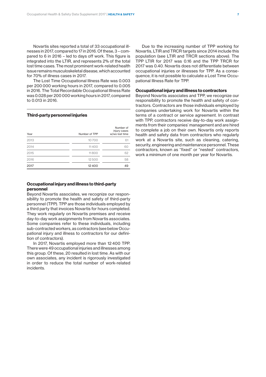Novartis sites reported a total of 33 occupational illnesses in 2017, compared to 17 in 2016. Of these, 3 – compared to 6 in 2016 – led to days off work. This figure is integrated into the LTIR, and represents 2% of the total lost time cases. The most prominent work-related health issue remains musculoskeletal disease, which accounted for 70% of illness cases in 2017.

The Lost Time Occupational Illness Rate was 0.003 per 200 000 working hours in 2017, compared to 0.005 in 2016. The Total Recordable Occupational Illness Rate was 0.028 per 200 000 working hours in 2017, compared to 0.013 in 2016.

### **Third-party personnel injuries**

| Year | Number of TPP | Number of<br>injury cases<br>w/wo lost time |
|------|---------------|---------------------------------------------|
| 2013 | 10700         | 61                                          |
| 2014 | 11400         | 60                                          |
| 2015 | 11800         | 62                                          |
| 2016 | 12500         | 58                                          |
| 2017 | 12400         | 49                                          |

# **Occupational injury and illness to third-party personnel**

Beyond Novartis associates, we recognize our responsibility to promote the health and safety of third-party personnel (TPP). TPP are those individuals employed by a third party that invoices Novartis for hours completed. They work regularly on Novartis premises and receive day-to-day work assignments from Novartis associates. Some companies refer to these individuals, including sub-contracted workers, as contractors (see below Occupational injury and illness to contractors for our definition of contractors).

In 2017, Novartis employed more than 12 400 TPP. There were 49 occupational injuries and illnesses among this group. Of these, 20 resulted in lost time. As with our own associates, any incident is rigorously investigated in order to reduce the total number of work-related incidents.

Due to the increasing number of TPP working for Novartis, LTIR and TRCR targets since 2014 include this population (see LTIR and TRCR sections above). The TPP LTIR for 2017 was 0.16 and the TPP TRCR for 2017 was 0.40. Novartis does not differentiate between occupational injuries or illnesses for TPP. As a consequence, it is not possible to calculate a Lost Time Occupational Illness Rate for TPP.

# **Occupational injury and illness to contractors**

Beyond Novartis associates and TPP, we recognize our responsibility to promote the health and safety of contractors. Contractors are those individuals employed by companies undertaking work for Novartis within the terms of a contract or service agreement. In contrast with TPP, contractors receive day-to-day work assignments from their companies' management and are hired to complete a job on their own. Novartis only reports health and safety data from contractors who regularly work at a Novartis site, such as cleaning, catering, security, engineering and maintenance personnel. These contractors, known as "fixed" or "nested" contractors, work a minimum of one month per year for Novartis.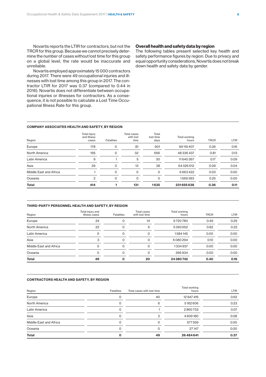Novartis reports the LTIR for contractors, but not the TRCR for this group. Because we cannot precisely determine the number of cases without lost time for this group on a global level, the rate would be inaccurate and unreliable.

Novartis employed approximately 15000 contractors during 2017. There were 49 occupational injuries and illnesses with lost time among this group in 2017. The contractor LTIR for 2017 was 0.37 (compared to 0.44 in 2016). Novartis does not differentiate between occupational injuries or illnesses for contractors. As a consequence, it is not possible to calculate a Lost Time Occupational Illness Rate for this group.

# **Overall health and safety data by region**

The following tables present selected key health and safety performance figures by region. Due to privacy and equal opportunity considerations, Novartis does not break down health and safety data by gender.

#### **COMPANY ASSOCIATES HEALTH AND SAFETY, BY REGION**

| Region                 | Total injury<br>and illness<br>cases | <b>Fatalities</b> | <b>Total cases</b><br>with lost<br>time | Total<br>lost-time<br>days | Total working<br>hours | <b>TRCR</b> | <b>LTIR</b> |
|------------------------|--------------------------------------|-------------------|-----------------------------------------|----------------------------|------------------------|-------------|-------------|
| Europe                 | 178                                  | 0                 | 81                                      | 901                        | 99119407               | 0.36        | 0.16        |
| North America          | 195                                  | 0                 | 32                                      | 666                        | 48336437               | 0.81        | 0.13        |
| Latin America          | 9                                    |                   | 5                                       | 30                         | 11640367               | 0.17        | 0.09        |
| Asia                   | 29                                   | $\Omega$          | 13                                      | 38                         | 64326612               | 0.09        | 0.04        |
| Middle East and Africa |                                      | $\Omega$          | $\Omega$                                | $\Omega$                   | 6663422                | 0.03        | 0.00        |
| Oceania                | 2                                    | $\Omega$          | $\Omega$                                | $\Omega$                   | 1569393                | 0.25        | 0.00        |
| <b>Total</b>           | 414                                  |                   | 131                                     | 1635                       | 231655638              | 0.36        | 0.11        |

#### **THIRD-PARTY PERSONNEL HEALTH AND SAFETY, BY REGION**

| Region                 | Total injury and<br>illness cases | <b>Fatalities</b> | Total cases<br>with lost time | Total working<br>hours | <b>TRCR</b> | <b>LTIR</b> |
|------------------------|-----------------------------------|-------------------|-------------------------------|------------------------|-------------|-------------|
| Europe                 | 24                                |                   | 14                            | 9720780                | 0.49        | 0.29        |
| North America          | 22                                | 0                 | 6                             | 5393652                | 0.82        | 0.22        |
| Latin America          | $\Omega$                          | 0                 | $\Omega$                      | 1584145                | 0.00        | 0.00        |
| Asia                   | 3                                 | 0                 | $\Omega$                      | 6080294                | 0.10        | 0.00        |
| Middle East and Africa |                                   | $\Omega$          | $\Omega$                      | 1334937                | 0.00        | 0.00        |
| Oceania                |                                   | ი                 | $\Omega$                      | 266934                 | 0.00        | 0.00        |
| <b>Total</b>           | 49                                | O                 | 20                            | 24380742               | 0.40        | 0.16        |

#### **CONTRACTORS HEALTH AND SAFETY, BY REGION**

| Region                 | Fatalities | Total cases with lost time | Total working<br>hours | <b>LTIR</b> |
|------------------------|------------|----------------------------|------------------------|-------------|
| Europe                 |            | 40                         | 12947416               | 0.62        |
| North America          |            | 6                          | 5162606                | 0.23        |
| Latin America          |            |                            | 2860733                | 0.07        |
| Asia                   |            | っ                          | 4909180                | 0.08        |
| Middle East and Africa |            | Ω                          | 577559                 | 0.00        |
| Oceania                | 0          | O                          | 27147                  | 0.00        |
| <b>Total</b>           |            | 49                         | 26 484 641             | 0.37        |